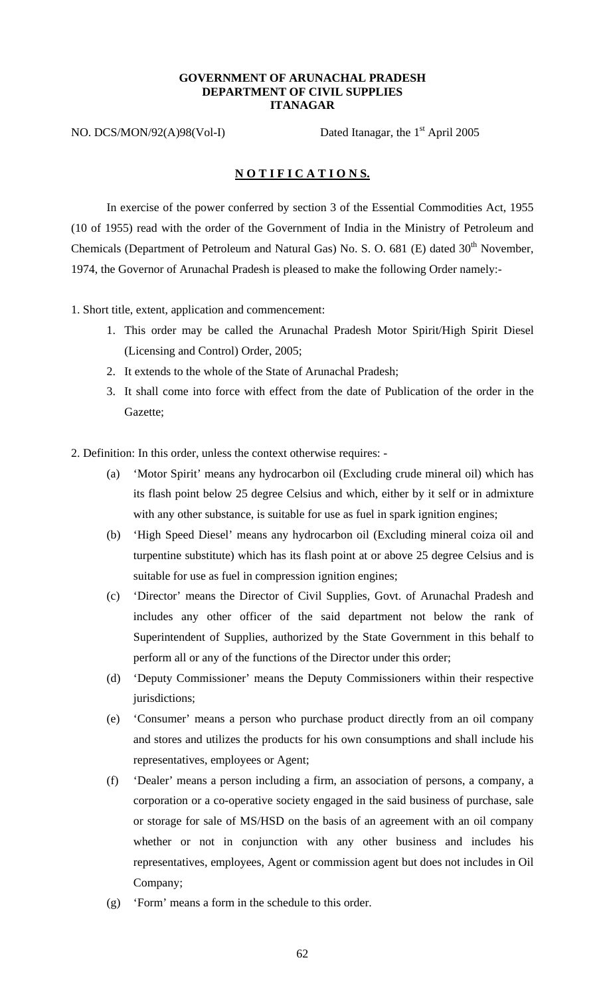### **GOVERNMENT OF ARUNACHAL PRADESH DEPARTMENT OF CIVIL SUPPLIES ITANAGAR**

NO. DCS/MON/92(A)98(Vol-I) Dated Itanagar, the 1<sup>st</sup> April 2005

#### **N O T I F I C A T I O N S.**

 In exercise of the power conferred by section 3 of the Essential Commodities Act, 1955 (10 of 1955) read with the order of the Government of India in the Ministry of Petroleum and Chemicals (Department of Petroleum and Natural Gas) No. S. O. 681 (E) dated 30<sup>th</sup> November, 1974, the Governor of Arunachal Pradesh is pleased to make the following Order namely:-

1. Short title, extent, application and commencement:

- 1. This order may be called the Arunachal Pradesh Motor Spirit/High Spirit Diesel (Licensing and Control) Order, 2005;
- 2. It extends to the whole of the State of Arunachal Pradesh;
- 3. It shall come into force with effect from the date of Publication of the order in the Gazette;

2. Definition: In this order, unless the context otherwise requires: -

- (a) 'Motor Spirit' means any hydrocarbon oil (Excluding crude mineral oil) which has its flash point below 25 degree Celsius and which, either by it self or in admixture with any other substance, is suitable for use as fuel in spark ignition engines;
- (b) 'High Speed Diesel' means any hydrocarbon oil (Excluding mineral coiza oil and turpentine substitute) which has its flash point at or above 25 degree Celsius and is suitable for use as fuel in compression ignition engines;
- (c) 'Director' means the Director of Civil Supplies, Govt. of Arunachal Pradesh and includes any other officer of the said department not below the rank of Superintendent of Supplies, authorized by the State Government in this behalf to perform all or any of the functions of the Director under this order;
- (d) 'Deputy Commissioner' means the Deputy Commissioners within their respective jurisdictions;
- (e) 'Consumer' means a person who purchase product directly from an oil company and stores and utilizes the products for his own consumptions and shall include his representatives, employees or Agent;
- (f) 'Dealer' means a person including a firm, an association of persons, a company, a corporation or a co-operative society engaged in the said business of purchase, sale or storage for sale of MS/HSD on the basis of an agreement with an oil company whether or not in conjunction with any other business and includes his representatives, employees, Agent or commission agent but does not includes in Oil Company;
- (g) 'Form' means a form in the schedule to this order.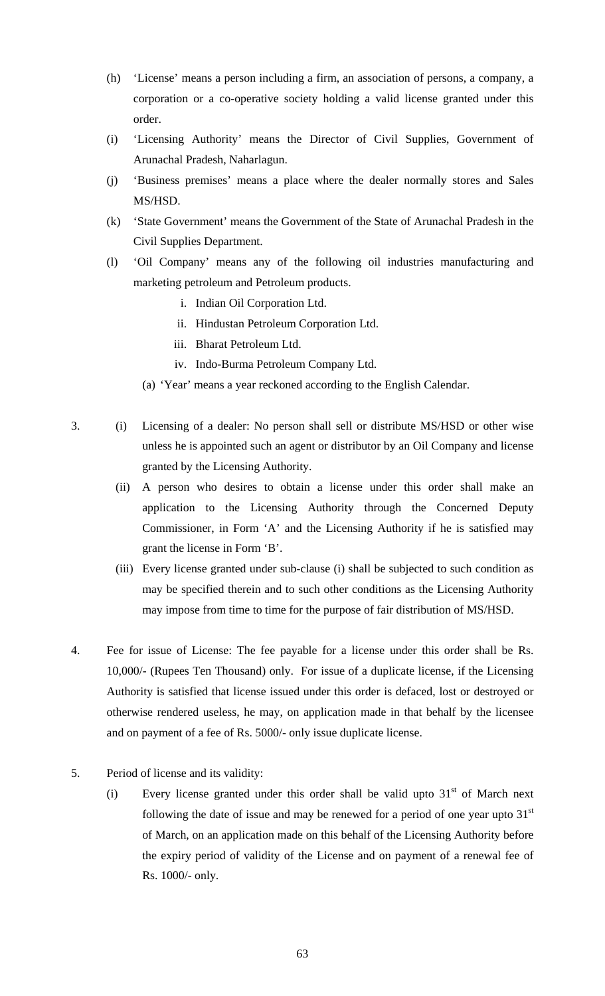- (h) 'License' means a person including a firm, an association of persons, a company, a corporation or a co-operative society holding a valid license granted under this order.
- (i) 'Licensing Authority' means the Director of Civil Supplies, Government of Arunachal Pradesh, Naharlagun.
- (j) 'Business premises' means a place where the dealer normally stores and Sales MS/HSD.
- (k) 'State Government' means the Government of the State of Arunachal Pradesh in the Civil Supplies Department.
- (l) 'Oil Company' means any of the following oil industries manufacturing and marketing petroleum and Petroleum products.
	- i. Indian Oil Corporation Ltd.
	- ii. Hindustan Petroleum Corporation Ltd.
	- iii. Bharat Petroleum Ltd.
	- iv. Indo-Burma Petroleum Company Ltd.
	- (a) 'Year' means a year reckoned according to the English Calendar.

3. (i) Licensing of a dealer: No person shall sell or distribute MS/HSD or other wise unless he is appointed such an agent or distributor by an Oil Company and license granted by the Licensing Authority.

- (ii) A person who desires to obtain a license under this order shall make an application to the Licensing Authority through the Concerned Deputy Commissioner, in Form 'A' and the Licensing Authority if he is satisfied may grant the license in Form 'B'.
- (iii) Every license granted under sub-clause (i) shall be subjected to such condition as may be specified therein and to such other conditions as the Licensing Authority may impose from time to time for the purpose of fair distribution of MS/HSD.
- 4. Fee for issue of License: The fee payable for a license under this order shall be Rs. 10,000/- (Rupees Ten Thousand) only. For issue of a duplicate license, if the Licensing Authority is satisfied that license issued under this order is defaced, lost or destroyed or otherwise rendered useless, he may, on application made in that behalf by the licensee and on payment of a fee of Rs. 5000/- only issue duplicate license.
- 5. Period of license and its validity:
	- (i) Every license granted under this order shall be valid upto  $31<sup>st</sup>$  of March next following the date of issue and may be renewed for a period of one year upto  $31<sup>st</sup>$ of March, on an application made on this behalf of the Licensing Authority before the expiry period of validity of the License and on payment of a renewal fee of Rs. 1000/- only.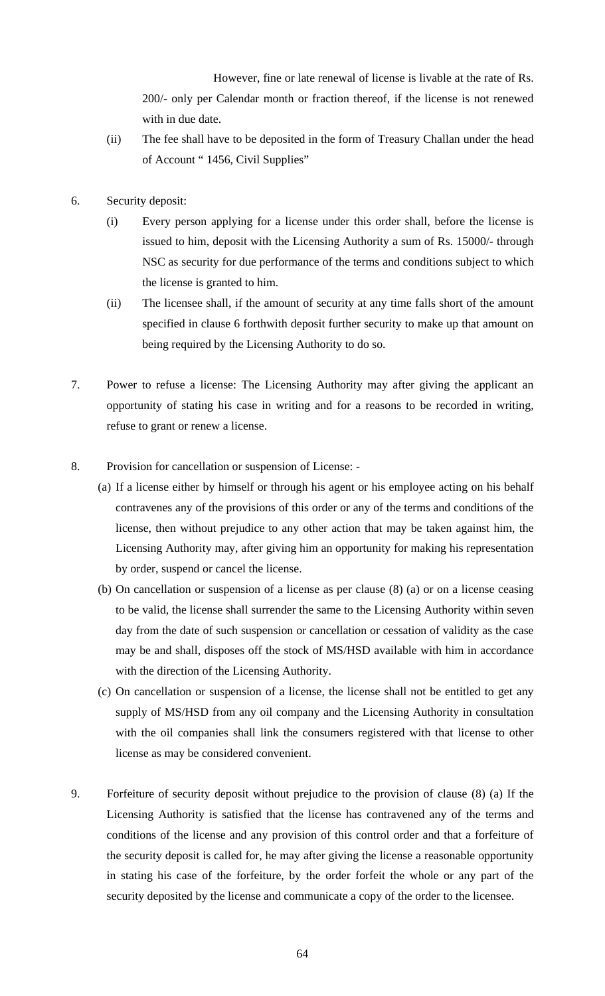However, fine or late renewal of license is livable at the rate of Rs. 200/- only per Calendar month or fraction thereof, if the license is not renewed with in due date.

- (ii) The fee shall have to be deposited in the form of Treasury Challan under the head of Account " 1456, Civil Supplies"
- 6. Security deposit:
	- (i) Every person applying for a license under this order shall, before the license is issued to him, deposit with the Licensing Authority a sum of Rs. 15000/- through NSC as security for due performance of the terms and conditions subject to which the license is granted to him.
	- (ii) The licensee shall, if the amount of security at any time falls short of the amount specified in clause 6 forthwith deposit further security to make up that amount on being required by the Licensing Authority to do so.
- 7. Power to refuse a license: The Licensing Authority may after giving the applicant an opportunity of stating his case in writing and for a reasons to be recorded in writing, refuse to grant or renew a license.
- 8. Provision for cancellation or suspension of License:
	- (a) If a license either by himself or through his agent or his employee acting on his behalf contravenes any of the provisions of this order or any of the terms and conditions of the license, then without prejudice to any other action that may be taken against him, the Licensing Authority may, after giving him an opportunity for making his representation by order, suspend or cancel the license.
	- (b) On cancellation or suspension of a license as per clause (8) (a) or on a license ceasing to be valid, the license shall surrender the same to the Licensing Authority within seven day from the date of such suspension or cancellation or cessation of validity as the case may be and shall, disposes off the stock of MS/HSD available with him in accordance with the direction of the Licensing Authority.
	- (c) On cancellation or suspension of a license, the license shall not be entitled to get any supply of MS/HSD from any oil company and the Licensing Authority in consultation with the oil companies shall link the consumers registered with that license to other license as may be considered convenient.
- 9. Forfeiture of security deposit without prejudice to the provision of clause (8) (a) If the Licensing Authority is satisfied that the license has contravened any of the terms and conditions of the license and any provision of this control order and that a forfeiture of the security deposit is called for, he may after giving the license a reasonable opportunity in stating his case of the forfeiture, by the order forfeit the whole or any part of the security deposited by the license and communicate a copy of the order to the licensee.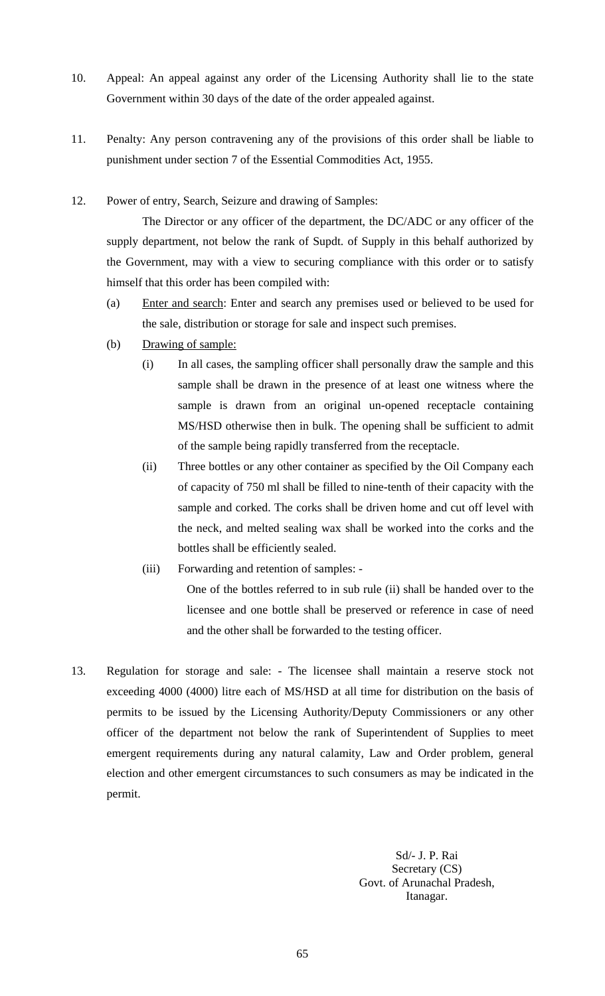- 10. Appeal: An appeal against any order of the Licensing Authority shall lie to the state Government within 30 days of the date of the order appealed against.
- 11. Penalty: Any person contravening any of the provisions of this order shall be liable to punishment under section 7 of the Essential Commodities Act, 1955.
- 12. Power of entry, Search, Seizure and drawing of Samples:

 The Director or any officer of the department, the DC/ADC or any officer of the supply department, not below the rank of Supdt. of Supply in this behalf authorized by the Government, may with a view to securing compliance with this order or to satisfy himself that this order has been compiled with:

- (a) Enter and search: Enter and search any premises used or believed to be used for the sale, distribution or storage for sale and inspect such premises.
- (b) Drawing of sample:
	- (i) In all cases, the sampling officer shall personally draw the sample and this sample shall be drawn in the presence of at least one witness where the sample is drawn from an original un-opened receptacle containing MS/HSD otherwise then in bulk. The opening shall be sufficient to admit of the sample being rapidly transferred from the receptacle.
	- (ii) Three bottles or any other container as specified by the Oil Company each of capacity of 750 ml shall be filled to nine-tenth of their capacity with the sample and corked. The corks shall be driven home and cut off level with the neck, and melted sealing wax shall be worked into the corks and the bottles shall be efficiently sealed.
	- (iii) Forwarding and retention of samples: -

One of the bottles referred to in sub rule (ii) shall be handed over to the licensee and one bottle shall be preserved or reference in case of need and the other shall be forwarded to the testing officer.

13. Regulation for storage and sale: - The licensee shall maintain a reserve stock not exceeding 4000 (4000) litre each of MS/HSD at all time for distribution on the basis of permits to be issued by the Licensing Authority/Deputy Commissioners or any other officer of the department not below the rank of Superintendent of Supplies to meet emergent requirements during any natural calamity, Law and Order problem, general election and other emergent circumstances to such consumers as may be indicated in the permit.

> Sd/- J. P. Rai Secretary (CS) Govt. of Arunachal Pradesh, Itanagar.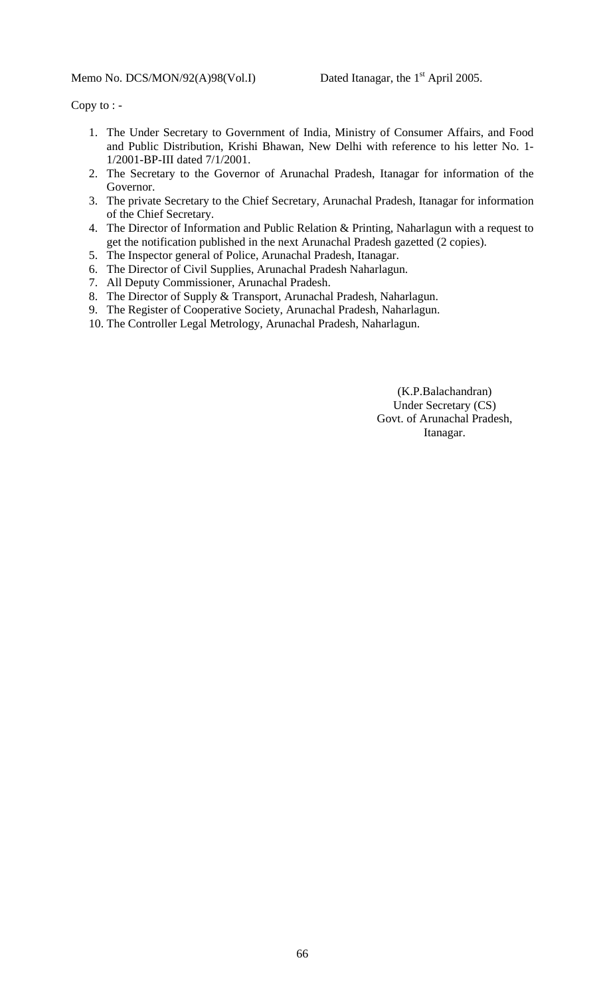Copy to : -

- 1. The Under Secretary to Government of India, Ministry of Consumer Affairs, and Food and Public Distribution, Krishi Bhawan, New Delhi with reference to his letter No. 1- 1/2001-BP-III dated 7/1/2001.
- 2. The Secretary to the Governor of Arunachal Pradesh, Itanagar for information of the Governor.
- 3. The private Secretary to the Chief Secretary, Arunachal Pradesh, Itanagar for information of the Chief Secretary.
- 4. The Director of Information and Public Relation & Printing, Naharlagun with a request to get the notification published in the next Arunachal Pradesh gazetted (2 copies).
- 5. The Inspector general of Police, Arunachal Pradesh, Itanagar.
- 6. The Director of Civil Supplies, Arunachal Pradesh Naharlagun.
- 7. All Deputy Commissioner, Arunachal Pradesh.
- 8. The Director of Supply & Transport, Arunachal Pradesh, Naharlagun.
- 9. The Register of Cooperative Society, Arunachal Pradesh, Naharlagun.
- 10. The Controller Legal Metrology, Arunachal Pradesh, Naharlagun.

(K.P.Balachandran) Under Secretary (CS) Govt. of Arunachal Pradesh, Itanagar.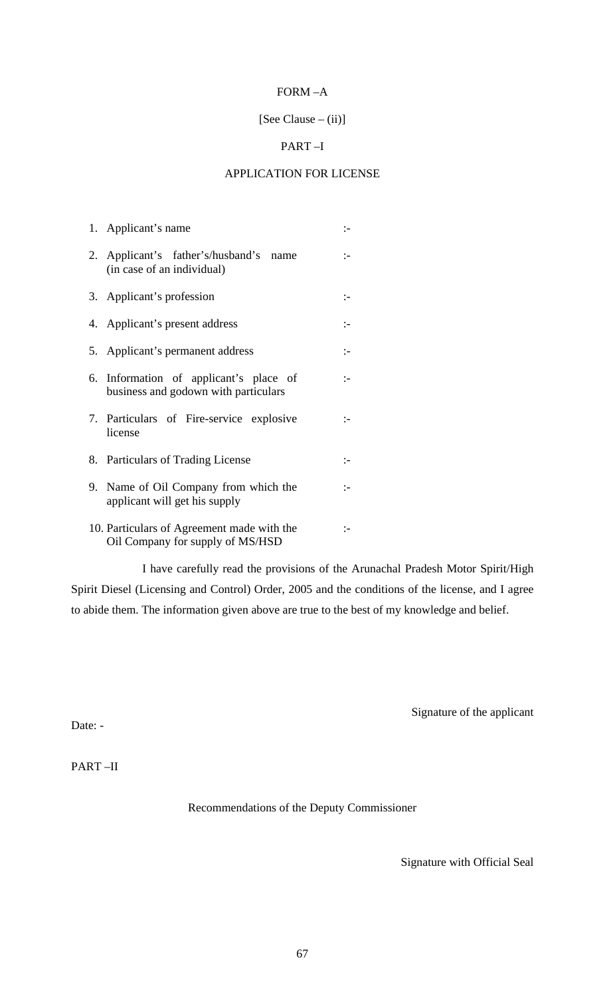# FORM –A

### [See Clause – (ii)]

## PART –I

### APPLICATION FOR LICENSE

| 1. Applicant's name                                                            | $\mathbf{L}$          |
|--------------------------------------------------------------------------------|-----------------------|
| 2. Applicant's father's/husband's name<br>(in case of an individual)           | :-                    |
| 3. Applicant's profession                                                      |                       |
| 4. Applicant's present address                                                 |                       |
| 5. Applicant's permanent address                                               | $\mathrel{\mathop:}=$ |
| 6. Information of applicant's place of<br>business and godown with particulars | $\mathbf{L}$          |
| 7. Particulars of Fire-service explosive<br>license                            |                       |
| 8. Particulars of Trading License                                              |                       |
| 9. Name of Oil Company from which the<br>applicant will get his supply         |                       |
| 10. Particulars of Agreement made with the<br>Oil Company for supply of MS/HSD |                       |

 I have carefully read the provisions of the Arunachal Pradesh Motor Spirit/High Spirit Diesel (Licensing and Control) Order, 2005 and the conditions of the license, and I agree to abide them. The information given above are true to the best of my knowledge and belief.

Signature of the applicant

Date: -

PART –II

Recommendations of the Deputy Commissioner

Signature with Official Seal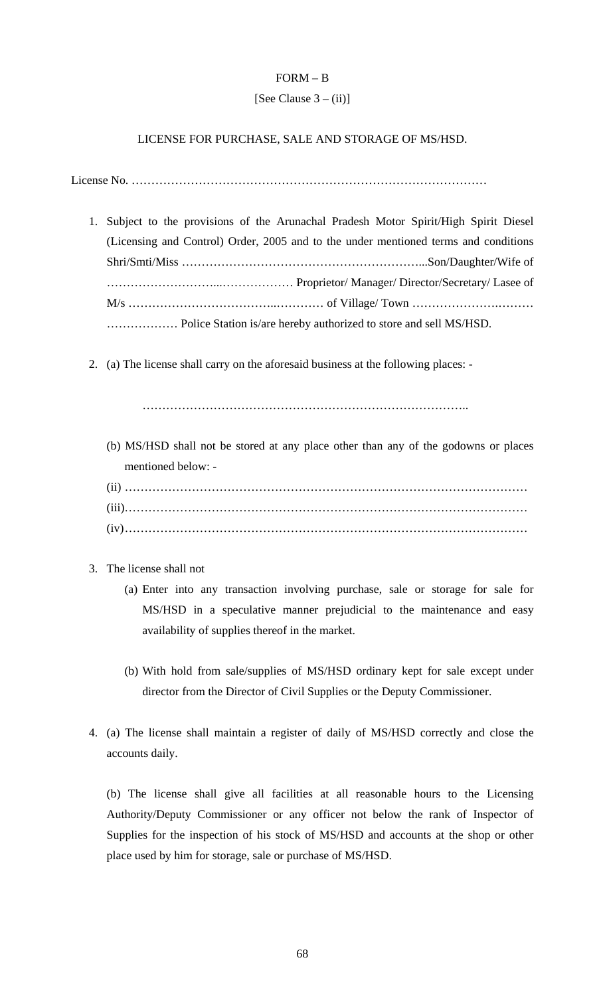## FORM – B

### [See Clause  $3 - (ii)$ ]

### LICENSE FOR PURCHASE, SALE AND STORAGE OF MS/HSD.

License No. ………………………………………………………………………………

- 1. Subject to the provisions of the Arunachal Pradesh Motor Spirit/High Spirit Diesel (Licensing and Control) Order, 2005 and to the under mentioned terms and conditions Shri/Smti/Miss ……………………………………………………...Son/Daughter/Wife of ………………………...……………… Proprietor/ Manager/ Director/Secretary/ Lasee of M/s ………………………………..………… of Village/ Town ………………….……… ……………… Police Station is/are hereby authorized to store and sell MS/HSD.
- 2. (a) The license shall carry on the aforesaid business at the following places: -

………………………………………………………………………..

- (b) MS/HSD shall not be stored at any place other than any of the godowns or places mentioned below: -
- (ii) ………………………………………………………………………………………… (iii)………………………………………………………………………………………… (iv)…………………………………………………………………………………………
- 3. The license shall not
	- (a) Enter into any transaction involving purchase, sale or storage for sale for MS/HSD in a speculative manner prejudicial to the maintenance and easy availability of supplies thereof in the market.
	- (b) With hold from sale/supplies of MS/HSD ordinary kept for sale except under director from the Director of Civil Supplies or the Deputy Commissioner.
- 4. (a) The license shall maintain a register of daily of MS/HSD correctly and close the accounts daily.

(b) The license shall give all facilities at all reasonable hours to the Licensing Authority/Deputy Commissioner or any officer not below the rank of Inspector of Supplies for the inspection of his stock of MS/HSD and accounts at the shop or other place used by him for storage, sale or purchase of MS/HSD.